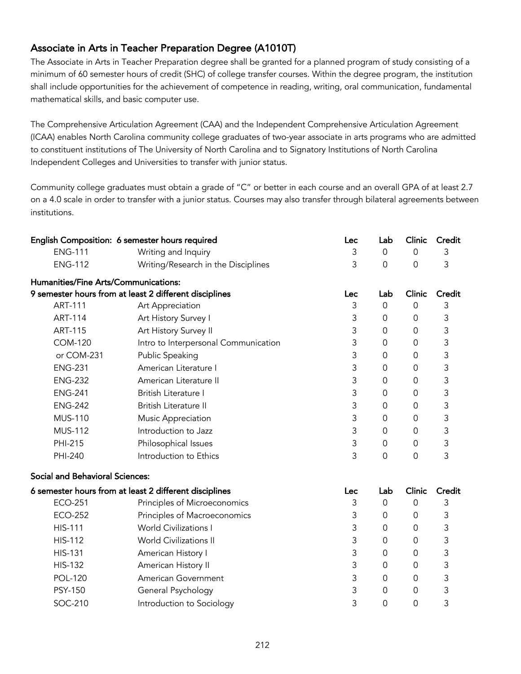## Associate in Arts in Teacher Preparation Degree (A1010T)

The Associate in Arts in Teacher Preparation degree shall be granted for a planned program of study consisting of a minimum of 60 semester hours of credit (SHC) of college transfer courses. Within the degree program, the institution shall include opportunities for the achievement of competence in reading, writing, oral communication, fundamental mathematical skills, and basic computer use.

The Comprehensive Articulation Agreement (CAA) and the Independent Comprehensive Articulation Agreement (ICAA) enables North Carolina community college graduates of two-year associate in arts programs who are admitted to constituent institutions of The University of North Carolina and to Signatory Institutions of North Carolina Independent Colleges and Universities to transfer with junior status.

Community college graduates must obtain a grade of "C" or better in each course and an overall GPA of at least 2.7 on a 4.0 scale in order to transfer with a junior status. Courses may also transfer through bilateral agreements between institutions.

|                                                        | English Composition: 6 semester hours required         | Lec | Lab                 | Clinic              | Credit |
|--------------------------------------------------------|--------------------------------------------------------|-----|---------------------|---------------------|--------|
| <b>ENG-111</b>                                         | Writing and Inquiry                                    | 3   | $\overline{0}$      | $\Omega$            | 3      |
| <b>ENG-112</b>                                         | Writing/Research in the Disciplines                    | 3   | 0                   | $\overline{0}$      | 3      |
| Humanities/Fine Arts/Communications:                   |                                                        |     |                     |                     |        |
|                                                        | 9 semester hours from at least 2 different disciplines | Lec | Lab                 | Clinic              | Credit |
| <b>ART-111</b>                                         | Art Appreciation                                       | 3   | $\mathsf{O}\xspace$ | $\mathsf{O}\xspace$ | 3      |
| <b>ART-114</b>                                         | Art History Survey I                                   | 3   | $\mathbf 0$         | 0                   | 3      |
| <b>ART-115</b>                                         | Art History Survey II                                  | 3   | 0                   | 0                   | 3      |
| <b>COM-120</b>                                         | Intro to Interpersonal Communication                   | 3   | $\Omega$            | 0                   | 3      |
| or COM-231                                             | Public Speaking                                        | 3   | $\mathbf 0$         | $\mathbf 0$         | 3      |
| <b>ENG-231</b>                                         | American Literature I                                  | 3   | $\mathbf 0$         | $\mathbf 0$         | 3      |
| <b>ENG-232</b>                                         | American Literature II                                 | 3   | $\mathbf 0$         | 0                   | 3      |
| <b>ENG-241</b>                                         | British Literature I                                   | 3   | 0                   | 0                   | 3      |
| <b>ENG-242</b>                                         | <b>British Literature II</b>                           | 3   | 0                   | 0                   | 3      |
| <b>MUS-110</b>                                         | Music Appreciation                                     | 3   | 0                   | $\mathbf 0$         | 3      |
| <b>MUS-112</b>                                         | Introduction to Jazz                                   | 3   | $\mathbf 0$         | 0                   | 3      |
| PHI-215                                                | Philosophical Issues                                   | 3   | $\mathbf 0$         | 0                   | 3      |
| PHI-240                                                | Introduction to Ethics                                 | 3   | 0                   | $\mathbf 0$         | 3      |
| <b>Social and Behavioral Sciences:</b>                 |                                                        |     |                     |                     |        |
| 6 semester hours from at least 2 different disciplines |                                                        | Lec | Lab                 | Clinic              | Credit |
| <b>ECO-251</b>                                         | Principles of Microeconomics                           | 3   | $\mathbf 0$         | $\overline{0}$      | 3      |
| <b>ECO-252</b>                                         | Principles of Macroeconomics                           | 3   | $\mathbf 0$         | $\mathbf 0$         | 3      |
| <b>HIS-111</b>                                         | <b>World Civilizations I</b>                           | 3   | 0                   | $\mathbf 0$         | 3      |
| <b>HIS-112</b>                                         | <b>World Civilizations II</b>                          | 3   | $\mathbf 0$         | 0                   | 3      |
| <b>HIS-131</b>                                         | American History I                                     | 3   | $\mathbf 0$         | $\mathbf 0$         | 3      |
| <b>HIS-132</b>                                         | American History II                                    | 3   | 0                   | $\mathbf 0$         | 3      |
| <b>POL-120</b>                                         | American Government                                    | 3   | 0                   | 0                   | 3      |
| <b>PSY-150</b>                                         | General Psychology                                     | 3   | $\mathsf{O}\xspace$ | 0                   | 3      |
| SOC-210                                                | Introduction to Sociology                              | 3   | $\mathbf 0$         | $\mathbf 0$         | 3      |